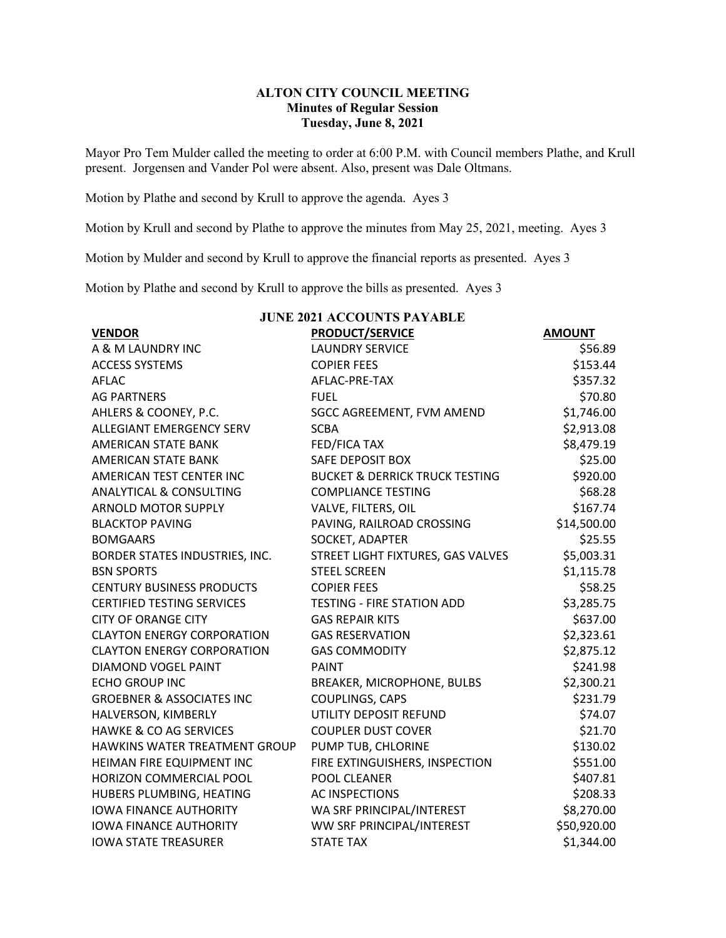## **ALTON CITY COUNCIL MEETING Minutes of Regular Session Tuesday, June 8, 2021**

Mayor Pro Tem Mulder called the meeting to order at 6:00 P.M. with Council members Plathe, and Krull present. Jorgensen and Vander Pol were absent. Also, present was Dale Oltmans.

Motion by Plathe and second by Krull to approve the agenda. Ayes 3

Motion by Krull and second by Plathe to approve the minutes from May 25, 2021, meeting. Ayes 3

Motion by Mulder and second by Krull to approve the financial reports as presented. Ayes 3

Motion by Plathe and second by Krull to approve the bills as presented. Ayes 3

| <b>JUNE 2021 ACCOUNTS PAYABLE</b>    |                                           |               |  |  |  |
|--------------------------------------|-------------------------------------------|---------------|--|--|--|
| <b>VENDOR</b>                        | <b>PRODUCT/SERVICE</b>                    | <b>AMOUNT</b> |  |  |  |
| A & M LAUNDRY INC                    | <b>LAUNDRY SERVICE</b>                    | \$56.89       |  |  |  |
| <b>ACCESS SYSTEMS</b>                | <b>COPIER FEES</b>                        | \$153.44      |  |  |  |
| <b>AFLAC</b>                         | AFLAC-PRE-TAX                             | \$357.32      |  |  |  |
| <b>AG PARTNERS</b>                   | <b>FUEL</b>                               | \$70.80       |  |  |  |
| AHLERS & COONEY, P.C.                | SGCC AGREEMENT, FVM AMEND                 | \$1,746.00    |  |  |  |
| ALLEGIANT EMERGENCY SERV             | <b>SCBA</b>                               | \$2,913.08    |  |  |  |
| AMERICAN STATE BANK                  | FED/FICA TAX                              | \$8,479.19    |  |  |  |
| <b>AMERICAN STATE BANK</b>           | SAFE DEPOSIT BOX                          | \$25.00       |  |  |  |
| AMERICAN TEST CENTER INC             | <b>BUCKET &amp; DERRICK TRUCK TESTING</b> | \$920.00      |  |  |  |
| <b>ANALYTICAL &amp; CONSULTING</b>   | <b>COMPLIANCE TESTING</b>                 | \$68.28       |  |  |  |
| <b>ARNOLD MOTOR SUPPLY</b>           | VALVE, FILTERS, OIL                       | \$167.74      |  |  |  |
| <b>BLACKTOP PAVING</b>               | PAVING, RAILROAD CROSSING                 | \$14,500.00   |  |  |  |
| <b>BOMGAARS</b>                      | SOCKET, ADAPTER                           | \$25.55       |  |  |  |
| BORDER STATES INDUSTRIES, INC.       | STREET LIGHT FIXTURES, GAS VALVES         | \$5,003.31    |  |  |  |
| <b>BSN SPORTS</b>                    | <b>STEEL SCREEN</b>                       | \$1,115.78    |  |  |  |
| <b>CENTURY BUSINESS PRODUCTS</b>     | <b>COPIER FEES</b>                        | \$58.25       |  |  |  |
| <b>CERTIFIED TESTING SERVICES</b>    | <b>TESTING - FIRE STATION ADD</b>         | \$3,285.75    |  |  |  |
| <b>CITY OF ORANGE CITY</b>           | <b>GAS REPAIR KITS</b>                    | \$637.00      |  |  |  |
| <b>CLAYTON ENERGY CORPORATION</b>    | <b>GAS RESERVATION</b>                    | \$2,323.61    |  |  |  |
| <b>CLAYTON ENERGY CORPORATION</b>    | <b>GAS COMMODITY</b>                      | \$2,875.12    |  |  |  |
| DIAMOND VOGEL PAINT                  | <b>PAINT</b>                              | \$241.98      |  |  |  |
| <b>ECHO GROUP INC</b>                | BREAKER, MICROPHONE, BULBS                | \$2,300.21    |  |  |  |
| <b>GROEBNER &amp; ASSOCIATES INC</b> | COUPLINGS, CAPS                           | \$231.79      |  |  |  |
| HALVERSON, KIMBERLY                  | UTILITY DEPOSIT REFUND                    | \$74.07       |  |  |  |
| <b>HAWKE &amp; CO AG SERVICES</b>    | <b>COUPLER DUST COVER</b>                 | \$21.70       |  |  |  |
| HAWKINS WATER TREATMENT GROUP        | PUMP TUB, CHLORINE                        | \$130.02      |  |  |  |
| HEIMAN FIRE EQUIPMENT INC            | FIRE EXTINGUISHERS, INSPECTION            | \$551.00      |  |  |  |
| HORIZON COMMERCIAL POOL              | POOL CLEANER                              | \$407.81      |  |  |  |
| HUBERS PLUMBING, HEATING             | <b>AC INSPECTIONS</b>                     | \$208.33      |  |  |  |
| <b>IOWA FINANCE AUTHORITY</b>        | WA SRF PRINCIPAL/INTEREST                 | \$8,270.00    |  |  |  |
| <b>IOWA FINANCE AUTHORITY</b>        | WW SRF PRINCIPAL/INTEREST                 | \$50,920.00   |  |  |  |
| <b>IOWA STATE TREASURER</b>          | <b>STATE TAX</b>                          | \$1,344.00    |  |  |  |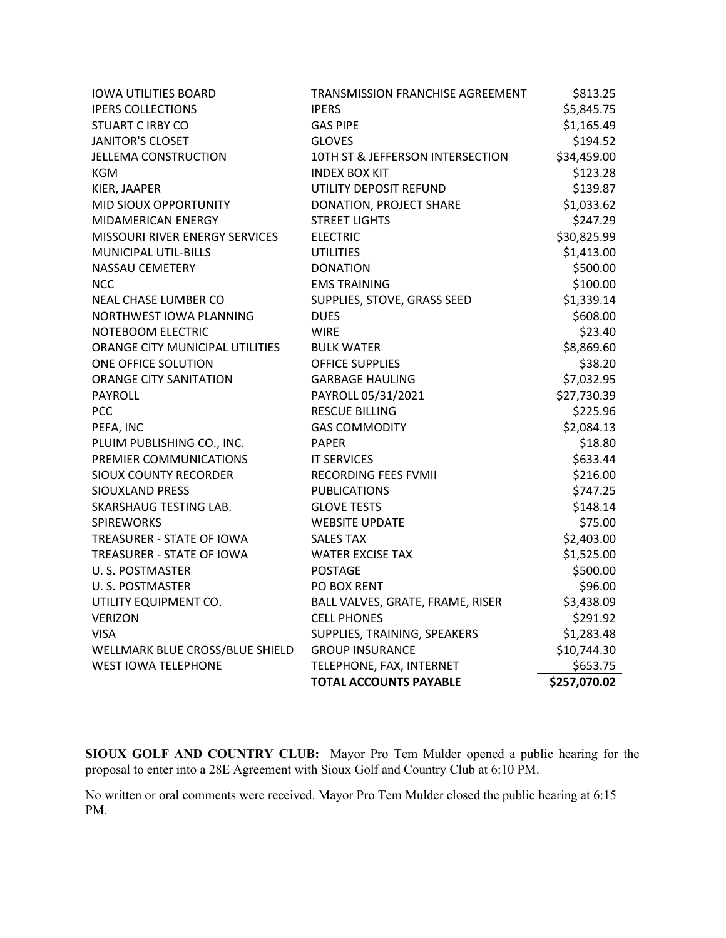|                                 | <b>TOTAL ACCOUNTS PAYABLE</b>    | \$257,070.02 |
|---------------------------------|----------------------------------|--------------|
| <b>WEST IOWA TELEPHONE</b>      | TELEPHONE, FAX, INTERNET         | \$653.75     |
| WELLMARK BLUE CROSS/BLUE SHIELD | <b>GROUP INSURANCE</b>           | \$10,744.30  |
| <b>VISA</b>                     | SUPPLIES, TRAINING, SPEAKERS     | \$1,283.48   |
| <b>VERIZON</b>                  | <b>CELL PHONES</b>               | \$291.92     |
| UTILITY EQUIPMENT CO.           | BALL VALVES, GRATE, FRAME, RISER | \$3,438.09   |
| U. S. POSTMASTER                | PO BOX RENT                      | \$96.00      |
| U.S. POSTMASTER                 | <b>POSTAGE</b>                   | \$500.00     |
| TREASURER - STATE OF IOWA       | <b>WATER EXCISE TAX</b>          | \$1,525.00   |
| TREASURER - STATE OF IOWA       | <b>SALES TAX</b>                 | \$2,403.00   |
| <b>SPIREWORKS</b>               | <b>WEBSITE UPDATE</b>            | \$75.00      |
| SKARSHAUG TESTING LAB.          | <b>GLOVE TESTS</b>               | \$148.14     |
| SIOUXLAND PRESS                 | <b>PUBLICATIONS</b>              | \$747.25     |
| <b>SIOUX COUNTY RECORDER</b>    | <b>RECORDING FEES FVMII</b>      | \$216.00     |
| PREMIER COMMUNICATIONS          | <b>IT SERVICES</b>               | \$633.44     |
| PLUIM PUBLISHING CO., INC.      | <b>PAPER</b>                     | \$18.80      |
| PEFA, INC                       | <b>GAS COMMODITY</b>             | \$2,084.13   |
| <b>PCC</b>                      | <b>RESCUE BILLING</b>            | \$225.96     |
| <b>PAYROLL</b>                  | PAYROLL 05/31/2021               | \$27,730.39  |
| <b>ORANGE CITY SANITATION</b>   | <b>GARBAGE HAULING</b>           | \$7,032.95   |
| ONE OFFICE SOLUTION             | <b>OFFICE SUPPLIES</b>           | \$38.20      |
| ORANGE CITY MUNICIPAL UTILITIES | <b>BULK WATER</b>                | \$8,869.60   |
| NOTEBOOM ELECTRIC               | <b>WIRE</b>                      | \$23.40      |
| NORTHWEST IOWA PLANNING         | <b>DUES</b>                      | \$608.00     |
| NEAL CHASE LUMBER CO            | SUPPLIES, STOVE, GRASS SEED      | \$1,339.14   |
| <b>NCC</b>                      | <b>EMS TRAINING</b>              | \$100.00     |
| NASSAU CEMETERY                 | <b>DONATION</b>                  | \$500.00     |
| MUNICIPAL UTIL-BILLS            | <b>UTILITIES</b>                 | \$1,413.00   |
| MISSOURI RIVER ENERGY SERVICES  | <b>ELECTRIC</b>                  | \$30,825.99  |
| MIDAMERICAN ENERGY              | <b>STREET LIGHTS</b>             | \$247.29     |
| MID SIOUX OPPORTUNITY           | DONATION, PROJECT SHARE          | \$1,033.62   |
| KIER, JAAPER                    | UTILITY DEPOSIT REFUND           | \$139.87     |
| <b>KGM</b>                      | <b>INDEX BOX KIT</b>             | \$123.28     |
| <b>JELLEMA CONSTRUCTION</b>     | 10TH ST & JEFFERSON INTERSECTION | \$34,459.00  |
| <b>JANITOR'S CLOSET</b>         | <b>GLOVES</b>                    | \$194.52     |
| <b>STUART C IRBY CO</b>         | <b>GAS PIPE</b>                  | \$1,165.49   |
| <b>IPERS COLLECTIONS</b>        | <b>IPERS</b>                     | \$5,845.75   |
| <b>IOWA UTILITIES BOARD</b>     | TRANSMISSION FRANCHISE AGREEMENT | \$813.25     |

**SIOUX GOLF AND COUNTRY CLUB:** Mayor Pro Tem Mulder opened a public hearing for the proposal to enter into a 28E Agreement with Sioux Golf and Country Club at 6:10 PM.

No written or oral comments were received. Mayor Pro Tem Mulder closed the public hearing at 6:15 PM.